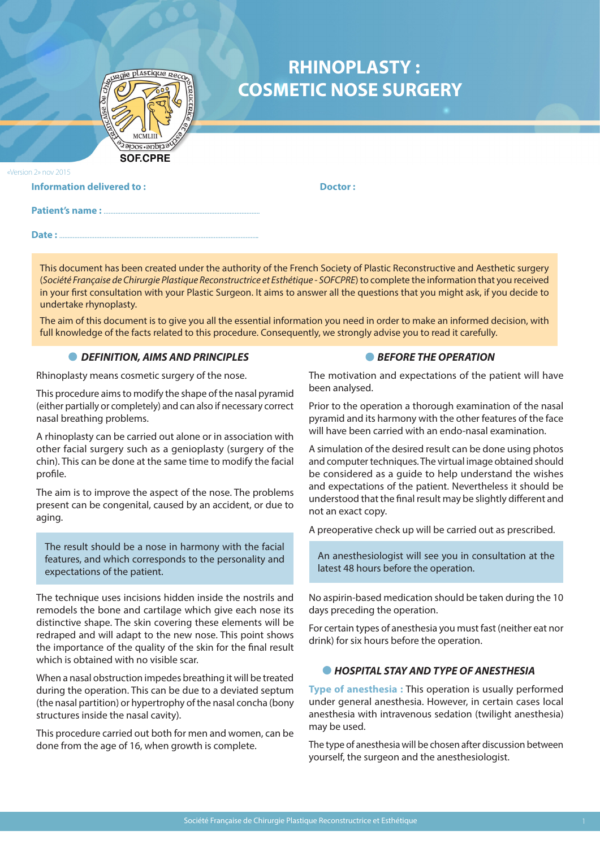

# **RHINOPLASTY : COSMETIC NOSE SURGERY**

«Version 2» nov 2015

| <b>Information delivered to:</b> | Doctor: |
|----------------------------------|---------|
|                                  |         |
| Date:                            |         |

This document has been created under the authority of the French Society of Plastic Reconstructive and Aesthetic surgery (*Société Française de Chirurgie Plastique Reconstructrice et Esthétique - SOFCPRE*) to complete the information that you received in your first consultation with your Plastic Surgeon. It aims to answer all the questions that you might ask, if you decide to undertake rhynoplasty.

The aim of this document is to give you all the essential information you need in order to make an informed decision, with full knowledge of the facts related to this procedure. Consequently, we strongly advise you to read it carefully.

# *DEFINITION, AIMS AND PRINCIPLES*

Rhinoplasty means cosmetic surgery of the nose.

This procedure aims to modify the shape of the nasal pyramid (either partially or completely) and can also if necessary correct nasal breathing problems.

A rhinoplasty can be carried out alone or in association with other facial surgery such as a genioplasty (surgery of the chin). This can be done at the same time to modify the facial profile.

The aim is to improve the aspect of the nose. The problems present can be congenital, caused by an accident, or due to aging.

The result should be a nose in harmony with the facial features, and which corresponds to the personality and expectations of the patient.

The technique uses incisions hidden inside the nostrils and remodels the bone and cartilage which give each nose its distinctive shape. The skin covering these elements will be redraped and will adapt to the new nose. This point shows the importance of the quality of the skin for the final result which is obtained with no visible scar.

When a nasal obstruction impedes breathing it will be treated during the operation. This can be due to a deviated septum (the nasal partition) or hypertrophy of the nasal concha (bony structures inside the nasal cavity).

This procedure carried out both for men and women, can be done from the age of 16, when growth is complete.

# **BEFORE THE OPERATION**

The motivation and expectations of the patient will have been analysed.

Prior to the operation a thorough examination of the nasal pyramid and its harmony with the other features of the face will have been carried with an endo-nasal examination.

A simulation of the desired result can be done using photos and computer techniques. The virtual image obtained should be considered as a guide to help understand the wishes and expectations of the patient. Nevertheless it should be understood that the final result may be slightly different and not an exact copy.

A preoperative check up will be carried out as prescribed.

An anesthesiologist will see you in consultation at the latest 48 hours before the operation.

No aspirin-based medication should be taken during the 10 days preceding the operation.

For certain types of anesthesia you must fast (neither eat nor drink) for six hours before the operation.

## *HOSPITAL STAY AND TYPE OF ANESTHESIA*

**Type of anesthesia :** This operation is usually performed under general anesthesia. However, in certain cases local anesthesia with intravenous sedation (twilight anesthesia) may be used.

The type of anesthesia will be chosen after discussion between yourself, the surgeon and the anesthesiologist.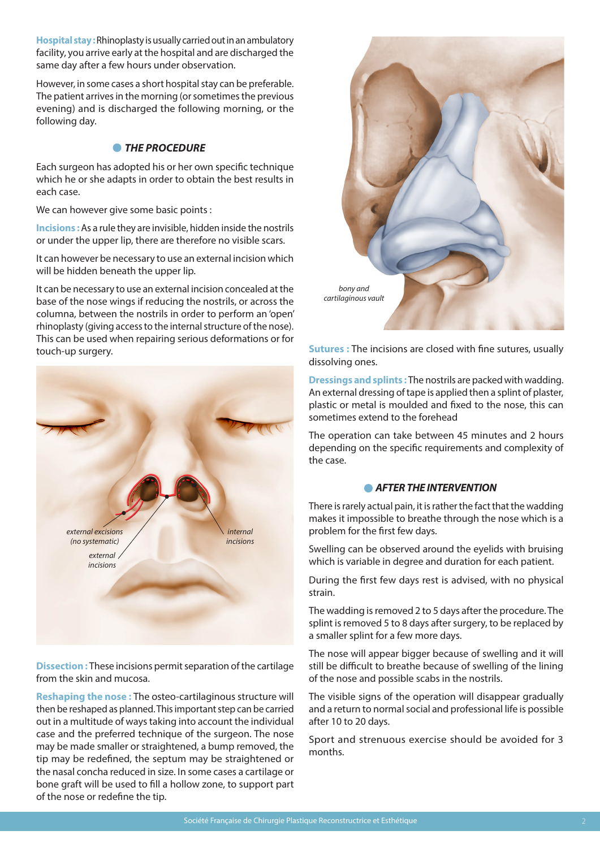**Hospital stay :** Rhinoplasty is usually carried out in an ambulatory facility, you arrive early at the hospital and are discharged the same day after a few hours under observation.

However, in some cases a short hospital stay can be preferable. The patient arrives in the morning (or sometimes the previous evening) and is discharged the following morning, or the following day.

# *THE PROCEDURE*

Each surgeon has adopted his or her own specific technique which he or she adapts in order to obtain the best results in each case.

We can however give some basic points :

**Incisions :** As a rule they are invisible, hidden inside the nostrils or under the upper lip, there are therefore no visible scars.

It can however be necessary to use an external incision which will be hidden beneath the upper lip.

It can be necessary to use an external incision concealed at the base of the nose wings if reducing the nostrils, or across the columna, between the nostrils in order to perform an 'open' rhinoplasty (giving access to the internal structure of the nose). This can be used when repairing serious deformations or for touch-up surgery.



**Dissection :** These incisions permit separation of the cartilage from the skin and mucosa.

**Reshaping the nose :** The osteo-cartilaginous structure will then be reshaped as planned. This important step can be carried out in a multitude of ways taking into account the individual case and the preferred technique of the surgeon. The nose may be made smaller or straightened, a bump removed, the tip may be redefined, the septum may be straightened or the nasal concha reduced in size. In some cases a cartilage or bone graft will be used to fill a hollow zone, to support part of the nose or redefine the tip.



**Sutures :** The incisions are closed with fine sutures, usually dissolving ones.

**Dressings and splints :** The nostrils are packed with wadding. An external dressing of tape is applied then a splint of plaster, plastic or metal is moulded and fixed to the nose, this can sometimes extend to the forehead

The operation can take between 45 minutes and 2 hours depending on the specific requirements and complexity of the case.

## *AFTER THE INTERVENTION*

There is rarely actual pain, it is rather the fact that the wadding makes it impossible to breathe through the nose which is a problem for the first few days.

Swelling can be observed around the eyelids with bruising which is variable in degree and duration for each patient.

During the first few days rest is advised, with no physical strain.

The wadding is removed 2 to 5 days after the procedure. The splint is removed 5 to 8 days after surgery, to be replaced by a smaller splint for a few more days.

The nose will appear bigger because of swelling and it will still be difficult to breathe because of swelling of the lining of the nose and possible scabs in the nostrils.

The visible signs of the operation will disappear gradually and a return to normal social and professional life is possible after 10 to 20 days.

Sport and strenuous exercise should be avoided for 3 months.